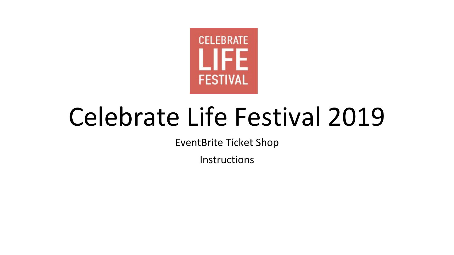

# Celebrate Life Festival 2019

EventBrite Ticket Shop

Instructions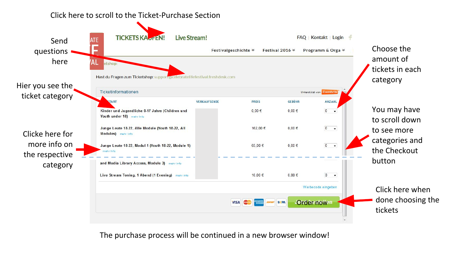

The purchase process will be continued in a new browser window!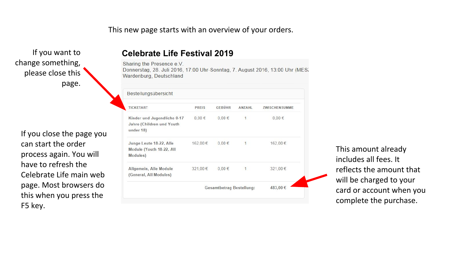This new page starts with an overview of your orders.

If you want to change something, please close this page.

If you close the page you can start the order process again. You will have to refresh the Celebrate Life main web page. Most browsers do this when you press the F5 key.

## **Celebrate Life Festival 2019**

Sharing the Presence e.V. Donnerstag, 28. Juli 2016, 17:00 Uhr-Sonntag, 7. August 2016, 13:00 Uhr (MES) Wardenburg, Deutschland

| <b>TICKETART</b>                                                      | <b>PREIS</b> | GEBÜHR     | <b>ANZAHL</b> | <b>ZWISCHENSUMME</b> |
|-----------------------------------------------------------------------|--------------|------------|---------------|----------------------|
| Kinder und Jugendliche 0-17<br>Jahre (Children und Youth<br>under 18) | $0.00 \in$   | $0.00 \in$ | 1             | $0.00 \in$           |
| Junge Leute 18-22, Alle<br>Module (Youth 18-22, All<br>Modules)       | 162,00 €     | $0.00 \in$ |               | 162,00€              |
| Allgemein, Alle Module<br>(General, All Modules)                      | 321,00 €     | $0.00 \in$ | $\mathbf{1}$  | 321,00 €             |

This amount already includes all fees. It reflects the amount that will be charged to your card or account when you complete the purchase.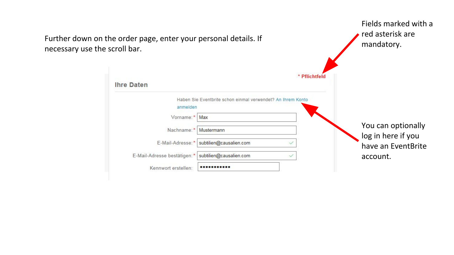Fields marked with a red asterisk are Further down on the order page, enter your personal details. If mandatory. necessary use the scroll bar.\* Pflichtfeld **Ihre Daten** Haben Sie Eventbrite schon einmal verwendet? An Ihrem Konto anmelden Vorname:\* Max You can optionally Nachname:\* Mustermann log in here if you subtilien@causalien.com E-Mail-Adresse:\* ✓ have an EventBrite subtilien@causalien.com E-Mail-Adresse bestätigen:\*  $\checkmark$ account. Kennwort erstellen: ...........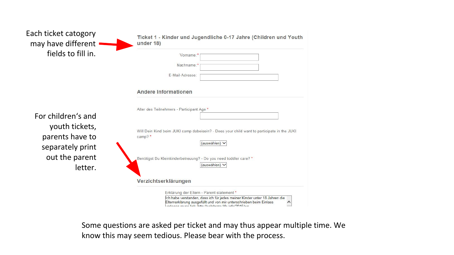| Each ticket catogory<br>may have different            | Ticket 1 - Kinder und Jugendliche 0-17 Jahre (Children und Youth<br>under 18)                                                                                                                            |
|-------------------------------------------------------|----------------------------------------------------------------------------------------------------------------------------------------------------------------------------------------------------------|
| fields to fill in.                                    | Vorname:                                                                                                                                                                                                 |
|                                                       | Nachname:'                                                                                                                                                                                               |
|                                                       | E-Mail-Adresse:                                                                                                                                                                                          |
|                                                       | Andere Informationen                                                                                                                                                                                     |
| For children's and                                    | Alter des Teilnehmers - Participant Age *                                                                                                                                                                |
| youth tickets,<br>parents have to<br>separately print | Will Dein Kind beim JUKI camp dabeisein? - Does your child want to participate in the JUKI<br>camp? *<br>(auswählen) V                                                                                   |
| out the parent<br>letter.                             | Benötigst Du Kleinkinderbetreuung? - Do you need toddler care? *<br>(auswählen) V                                                                                                                        |
|                                                       | Verzichtserklärungen                                                                                                                                                                                     |
|                                                       | Erklärung der Eltern - Parent statement *                                                                                                                                                                |
|                                                       | Ich habe verstanden, dass ich für jedes meiner Kinder unter 18 Jahren die<br>Elternerklärung ausgefüllt und von mir unterschrieben beim Einlass<br>undonon muss link: http://solohrato.lifo.info/2015/un |

Some questions are asked per ticket and may thus appear multiple time. We know this may seem tedious. Please bear with the process.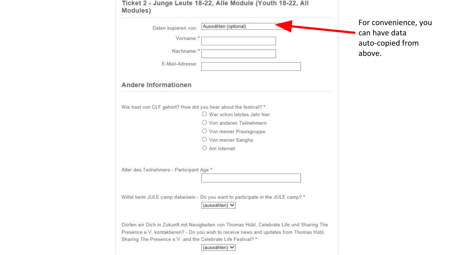| Daten kopieren von:                                             | Auswählen (optional)                                                                       | For convenience, you       |
|-----------------------------------------------------------------|--------------------------------------------------------------------------------------------|----------------------------|
| Vorname:*                                                       |                                                                                            | can have data              |
| Nachname:                                                       |                                                                                            | auto-copied from<br>above. |
| E-Mail-Adresse:                                                 |                                                                                            |                            |
| <b>Andere Informationen</b>                                     |                                                                                            |                            |
| Wie hast von CLF gehört? How did you hear about the festival? * |                                                                                            |                            |
|                                                                 | O War schon letztes Jahr hier                                                              |                            |
|                                                                 | O Von anderen Teilnehmern                                                                  |                            |
|                                                                 | $\circlearrowright$ Von meiner Praxisgruppe                                                |                            |
|                                                                 | O Von meiner Sangha                                                                        |                            |
|                                                                 | Am Internet                                                                                |                            |
| Alter des Teilnehmers - Participant Age *                       |                                                                                            |                            |
|                                                                 |                                                                                            |                            |
|                                                                 |                                                                                            |                            |
|                                                                 | Willst beim JULE camp dabeisein - Do you want to participate in the JULE camp? *           |                            |
|                                                                 | (auswählen) V                                                                              |                            |
|                                                                 | Dürfen wir Dich in Zukunft mit Neuigkeiten von Thomas Hübl, Celebrate Life und Sharing The |                            |
| Sharing The Presence e.V. and the Celebrate Life Festival? *    | Presence e.V. kontaktieren? - Do you wish to receive news and updates from Thomas Hübl,    |                            |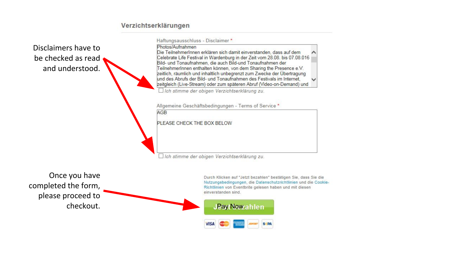#### Verzichtserklärungen

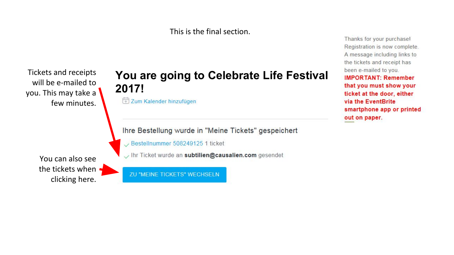This is the final section.



Thanks for your purchase! Registration is now complete. A message including links to the tickets and receipt has been e-mailed to you. **IMPORTANT: Remember** that you must show your ticket at the door, either via the EventBrite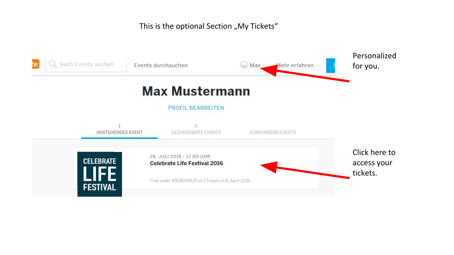### This is the optional Section "My Tickets"